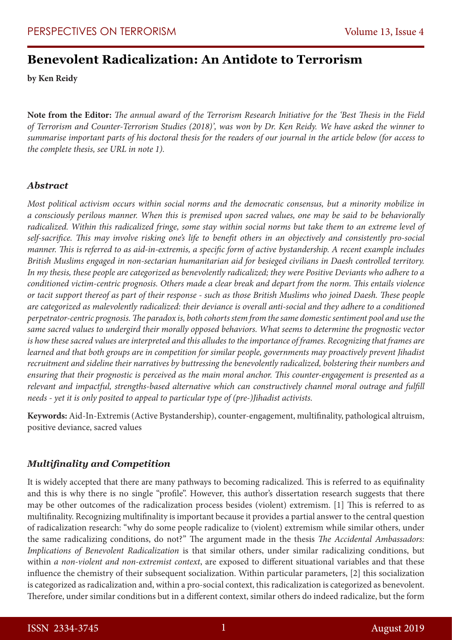# **Benevolent Radicalization: An Antidote to Terrorism**

**by Ken Reidy**

**Note from the Editor:** *The annual award of the Terrorism Research Initiative for the 'Best Thesis in the Field of Terrorism and Counter-Terrorism Studies (2018)', was won by Dr. Ken Reidy. We have asked the winner to summarise important parts of his doctoral thesis for the readers of our journal in the article below (for access to the complete thesis, see URL in note 1).*

#### *Abstract*

*Most political activism occurs within social norms and the democratic consensus, but a minority mobilize in a consciously perilous manner. When this is premised upon sacred values, one may be said to be behaviorally radicalized. Within this radicalized fringe, some stay within social norms but take them to an extreme level of self-sacrifice. This may involve risking one's life to benefit others in an objectively and consistently pro-social manner. This is referred to as aid-in-extremis, a specific form of active bystandership. A recent example includes British Muslims engaged in non-sectarian humanitarian aid for besieged civilians in Daesh controlled territory. In my thesis, these people are categorized as benevolently radicalized; they were Positive Deviants who adhere to a conditioned victim-centric prognosis. Others made a clear break and depart from the norm. This entails violence or tacit support thereof as part of their response - such as those British Muslims who joined Daesh. These people are categorized as malevolently radicalized: their deviance is overall anti-social and they adhere to a conditioned perpetrator-centric prognosis. The paradox is, both cohorts stem from the same domestic sentiment pool and use the same sacred values to undergird their morally opposed behaviors. What seems to determine the prognostic vector is how these sacred values are interpreted and this alludes to the importance of frames. Recognizing that frames are learned and that both groups are in competition for similar people, governments may proactively prevent Jihadist recruitment and sideline their narratives by buttressing the benevolently radicalized, bolstering their numbers and ensuring that their prognostic is perceived as the main moral anchor. This counter-engagement is presented as a relevant and impactful, strengths-based alternative which can constructively channel moral outrage and fulfill needs - yet it is only posited to appeal to particular type of (pre-)Jihadist activists.* 

**Keywords:** Aid-In-Extremis (Active Bystandership), counter-engagement, multifinality, pathological altruism, positive deviance, sacred values

## *Multifinality and Competition*

It is widely accepted that there are many pathways to becoming radicalized. This is referred to as equifinality and this is why there is no single "profile". However, this author's dissertation research suggests that there may be other outcomes of the radicalization process besides (violent) extremism. [1] This is referred to as multifinality. Recognizing multifinality is important because it provides a partial answer to the central question of radicalization research: "why do some people radicalize to (violent) extremism while similar others, under the same radicalizing conditions, do not?" The argument made in the thesis *The Accidental Ambassadors: Implications of Benevolent Radicalization* is that similar others, under similar radicalizing conditions, but within *a non-violent and non-extremist context*, are exposed to different situational variables and that these influence the chemistry of their subsequent socialization. Within particular parameters, [2] this socialization is categorized as radicalization and, within a pro-social context, this radicalization is categorized as benevolent. Therefore, under similar conditions but in a different context, similar others do indeed radicalize, but the form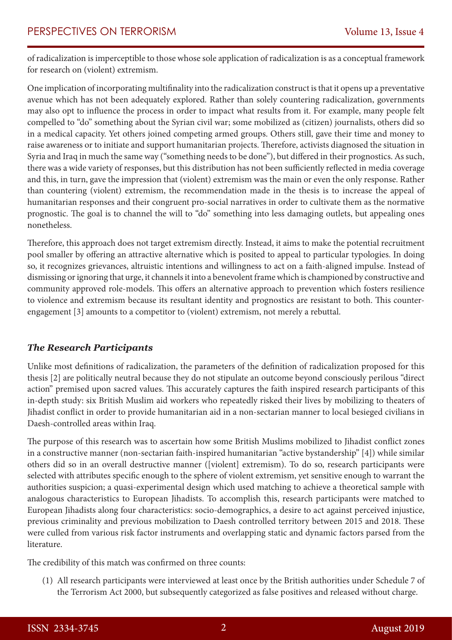of radicalization is imperceptible to those whose sole application of radicalization is as a conceptual framework for research on (violent) extremism.

One implication of incorporating multifinality into the radicalization construct is that it opens up a preventative avenue which has not been adequately explored. Rather than solely countering radicalization, governments may also opt to influence the process in order to impact what results from it. For example, many people felt compelled to "do" something about the Syrian civil war; some mobilized as (citizen) journalists, others did so in a medical capacity. Yet others joined competing armed groups. Others still, gave their time and money to raise awareness or to initiate and support humanitarian projects. Therefore, activists diagnosed the situation in Syria and Iraq in much the same way ("something needs to be done"), but differed in their prognostics. As such, there was a wide variety of responses, but this distribution has not been sufficiently reflected in media coverage and this, in turn, gave the impression that (violent) extremism was the main or even the only response. Rather than countering (violent) extremism, the recommendation made in the thesis is to increase the appeal of humanitarian responses and their congruent pro-social narratives in order to cultivate them as the normative prognostic. The goal is to channel the will to "do" something into less damaging outlets, but appealing ones nonetheless.

Therefore, this approach does not target extremism directly. Instead, it aims to make the potential recruitment pool smaller by offering an attractive alternative which is posited to appeal to particular typologies. In doing so, it recognizes grievances, altruistic intentions and willingness to act on a faith-aligned impulse. Instead of dismissing or ignoring that urge, it channels it into a benevolent frame which is championed by constructive and community approved role-models. This offers an alternative approach to prevention which fosters resilience to violence and extremism because its resultant identity and prognostics are resistant to both. This counterengagement [3] amounts to a competitor to (violent) extremism, not merely a rebuttal.

## *The Research Participants*

Unlike most definitions of radicalization, the parameters of the definition of radicalization proposed for this thesis [2] are politically neutral because they do not stipulate an outcome beyond consciously perilous "direct action" premised upon sacred values. This accurately captures the faith inspired research participants of this in-depth study: six British Muslim aid workers who repeatedly risked their lives by mobilizing to theaters of Jihadist conflict in order to provide humanitarian aid in a non-sectarian manner to local besieged civilians in Daesh-controlled areas within Iraq.

The purpose of this research was to ascertain how some British Muslims mobilized to Jihadist conflict zones in a constructive manner (non-sectarian faith-inspired humanitarian "active bystandership" [4]) while similar others did so in an overall destructive manner ([violent] extremism). To do so, research participants were selected with attributes specific enough to the sphere of violent extremism, yet sensitive enough to warrant the authorities suspicion; a quasi-experimental design which used matching to achieve a theoretical sample with analogous characteristics to European Jihadists. To accomplish this, research participants were matched to European Jihadists along four characteristics: socio-demographics, a desire to act against perceived injustice, previous criminality and previous mobilization to Daesh controlled territory between 2015 and 2018. These were culled from various risk factor instruments and overlapping static and dynamic factors parsed from the literature.

The credibility of this match was confirmed on three counts:

(1) All research participants were interviewed at least once by the British authorities under Schedule 7 of the Terrorism Act 2000, but subsequently categorized as false positives and released without charge.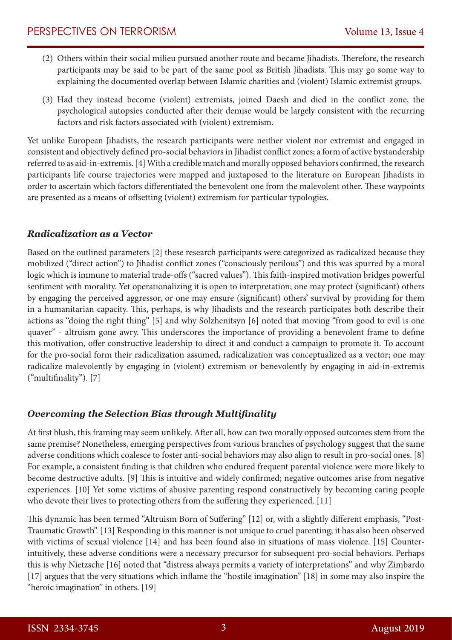- (2) Others within their social milieu pursued another route and became Jihadists. Therefore, the research participants may be said to be part of the same pool as British Jihadists. This may go some way to explaining the documented overlap between Islamic charities and (violent) Islamic extremist groups.
- (3) Had they instead become (violent) extremists, joined Daesh and died in the conflict zone, the psychological autopsies conducted after their demise would be largely consistent with the recurring factors and risk factors associated with (violent) extremism.

Yet unlike European Jihadists, the research participants were neither violent nor extremist and engaged in consistent and objectively defined pro-social behaviors in Jihadist conflict zones; a form of active bystandership referred to as aid-in-extremis. [4] With a credible match and morally opposed behaviors confirmed, the research participants life course trajectories were mapped and juxtaposed to the literature on European Jihadists in order to ascertain which factors differentiated the benevolent one from the malevolent other. These waypoints are presented as a means of offsetting (violent) extremism for particular typologies.

## *Radicalization as a Vector*

Based on the outlined parameters [2] these research participants were categorized as radicalized because they mobilized ("direct action") to Jihadist conflict zones ("consciously perilous") and this was spurred by a moral logic which is immune to material trade-offs ("sacred values"). This faith-inspired motivation bridges powerful sentiment with morality. Yet operationalizing it is open to interpretation; one may protect (significant) others by engaging the perceived aggressor, or one may ensure (significant) others' survival by providing for them in a humanitarian capacity. This, perhaps, is why Jihadists and the research participates both describe their actions as "doing the right thing" [5] and why Solzhenitsyn [6] noted that moving "from good to evil is one quaver" - altruism gone awry. This underscores the importance of providing a benevolent frame to define this motivation, offer constructive leadership to direct it and conduct a campaign to promote it. To account for the pro-social form their radicalization assumed, radicalization was conceptualized as a vector; one may radicalize malevolently by engaging in (violent) extremism or benevolently by engaging in aid-in-extremis ("multifinality"). [7]

# *Overcoming the Selection Bias through Multifinality*

At first blush, this framing may seem unlikely. After all, how can two morally opposed outcomes stem from the same premise? Nonetheless, emerging perspectives from various branches of psychology suggest that the same adverse conditions which coalesce to foster anti-social behaviors may also align to result in pro-social ones. [8] For example, a consistent finding is that children who endured frequent parental violence were more likely to become destructive adults. [9] This is intuitive and widely confirmed; negative outcomes arise from negative experiences. [10] Yet some victims of abusive parenting respond constructively by becoming caring people who devote their lives to protecting others from the suffering they experienced. [11]

This dynamic has been termed "Altruism Born of Suffering" [12] or, with a slightly different emphasis, "Post-Traumatic Growth". [13] Responding in this manner is not unique to cruel parenting; it has also been observed with victims of sexual violence [14] and has been found also in situations of mass violence. [15] Counterintuitively, these adverse conditions were a necessary precursor for subsequent pro-social behaviors. Perhaps this is why Nietzsche [16] noted that "distress always permits a variety of interpretations" and why Zimbardo [17] argues that the very situations which inflame the "hostile imagination" [18] in some may also inspire the "heroic imagination" in others. [19]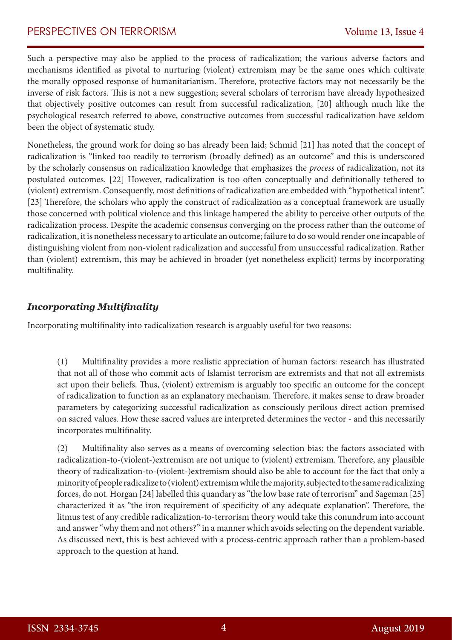## PERSPECTIVES ON TERRORISM Volume 13, Issue 4

Such a perspective may also be applied to the process of radicalization; the various adverse factors and mechanisms identified as pivotal to nurturing (violent) extremism may be the same ones which cultivate the morally opposed response of humanitarianism. Therefore, protective factors may not necessarily be the inverse of risk factors. This is not a new suggestion; several scholars of terrorism have already hypothesized that objectively positive outcomes can result from successful radicalization, [20] although much like the psychological research referred to above, constructive outcomes from successful radicalization have seldom been the object of systematic study.

Nonetheless, the ground work for doing so has already been laid; Schmid [21] has noted that the concept of radicalization is "linked too readily to terrorism (broadly defined) as an outcome" and this is underscored by the scholarly consensus on radicalization knowledge that emphasizes the *process* of radicalization, not its postulated outcomes. [22] However, radicalization is too often conceptually and definitionally tethered to (violent) extremism. Consequently, most definitions of radicalization are embedded with "hypothetical intent". [23] Therefore, the scholars who apply the construct of radicalization as a conceptual framework are usually those concerned with political violence and this linkage hampered the ability to perceive other outputs of the radicalization process. Despite the academic consensus converging on the process rather than the outcome of radicalization, it is nonetheless necessary to articulate an outcome; failure to do so would render one incapable of distinguishing violent from non-violent radicalization and successful from unsuccessful radicalization. Rather than (violent) extremism, this may be achieved in broader (yet nonetheless explicit) terms by incorporating multifinality.

#### *Incorporating Multifinality*

Incorporating multifinality into radicalization research is arguably useful for two reasons:

(1) Multifinality provides a more realistic appreciation of human factors: research has illustrated that not all of those who commit acts of Islamist terrorism are extremists and that not all extremists act upon their beliefs. Thus, (violent) extremism is arguably too specific an outcome for the concept of radicalization to function as an explanatory mechanism. Therefore, it makes sense to draw broader parameters by categorizing successful radicalization as consciously perilous direct action premised on sacred values. How these sacred values are interpreted determines the vector - and this necessarily incorporates multifinality.

(2) Multifinality also serves as a means of overcoming selection bias: the factors associated with radicalization-to-(violent-)extremism are not unique to (violent) extremism. Therefore, any plausible theory of radicalization-to-(violent-)extremism should also be able to account for the fact that only a minority of people radicalize to (violent) extremism while the majority, subjected to the same radicalizing forces, do not. Horgan [24] labelled this quandary as "the low base rate of terrorism" and Sageman [25] characterized it as "the iron requirement of specificity of any adequate explanation". Therefore, the litmus test of any credible radicalization-to-terrorism theory would take this conundrum into account and answer "why them and not others?" in a manner which avoids selecting on the dependent variable. As discussed next, this is best achieved with a process-centric approach rather than a problem-based approach to the question at hand.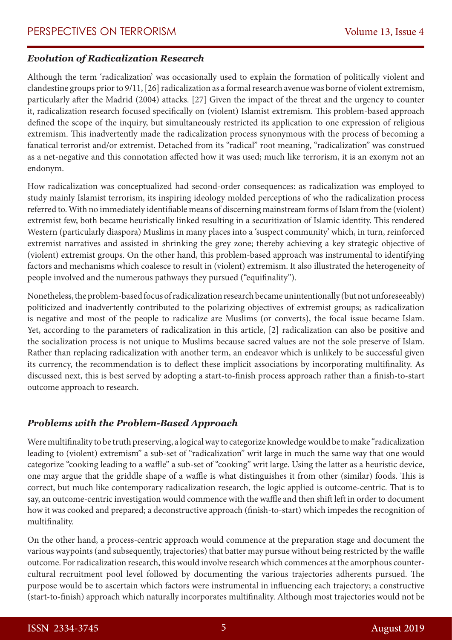#### *Evolution of Radicalization Research*

Although the term 'radicalization' was occasionally used to explain the formation of politically violent and clandestine groups prior to 9/11, [26] radicalization as a formal research avenue was borne of violent extremism, particularly after the Madrid (2004) attacks. [27] Given the impact of the threat and the urgency to counter it, radicalization research focused specifically on (violent) Islamist extremism. This problem-based approach defined the scope of the inquiry, but simultaneously restricted its application to one expression of religious extremism. This inadvertently made the radicalization process synonymous with the process of becoming a fanatical terrorist and/or extremist. Detached from its "radical" root meaning, "radicalization" was construed as a net-negative and this connotation affected how it was used; much like terrorism, it is an exonym not an endonym.

How radicalization was conceptualized had second-order consequences: as radicalization was employed to study mainly Islamist terrorism, its inspiring ideology molded perceptions of who the radicalization process referred to. With no immediately identifiable means of discerning mainstream forms of Islam from the (violent) extremist few, both became heuristically linked resulting in a securitization of Islamic identity. This rendered Western (particularly diaspora) Muslims in many places into a 'suspect community' which, in turn, reinforced extremist narratives and assisted in shrinking the grey zone; thereby achieving a key strategic objective of (violent) extremist groups. On the other hand, this problem-based approach was instrumental to identifying factors and mechanisms which coalesce to result in (violent) extremism. It also illustrated the heterogeneity of people involved and the numerous pathways they pursued ("equifinality").

Nonetheless, the problem-based focus of radicalization research became unintentionally (but not unforeseeably) politicized and inadvertently contributed to the polarizing objectives of extremist groups; as radicalization is negative and most of the people to radicalize are Muslims (or converts), the focal issue became Islam. Yet, according to the parameters of radicalization in this article, [2] radicalization can also be positive and the socialization process is not unique to Muslims because sacred values are not the sole preserve of Islam. Rather than replacing radicalization with another term, an endeavor which is unlikely to be successful given its currency, the recommendation is to deflect these implicit associations by incorporating multifinality. As discussed next, this is best served by adopting a start-to-finish process approach rather than a finish-to-start outcome approach to research.

## *Problems with the Problem-Based Approach*

Were multifinality to be truth preserving, a logical way to categorize knowledge would be to make "radicalization leading to (violent) extremism" a sub-set of "radicalization" writ large in much the same way that one would categorize "cooking leading to a waffle" a sub-set of "cooking" writ large. Using the latter as a heuristic device, one may argue that the griddle shape of a waffle is what distinguishes it from other (similar) foods. This is correct, but much like contemporary radicalization research, the logic applied is outcome-centric. That is to say, an outcome-centric investigation would commence with the waffle and then shift left in order to document how it was cooked and prepared; a deconstructive approach (finish-to-start) which impedes the recognition of multifinality.

On the other hand, a process-centric approach would commence at the preparation stage and document the various waypoints (and subsequently, trajectories) that batter may pursue without being restricted by the waffle outcome. For radicalization research, this would involve research which commences at the amorphous countercultural recruitment pool level followed by documenting the various trajectories adherents pursued. The purpose would be to ascertain which factors were instrumental in influencing each trajectory; a constructive (start-to-finish) approach which naturally incorporates multifinality. Although most trajectories would not be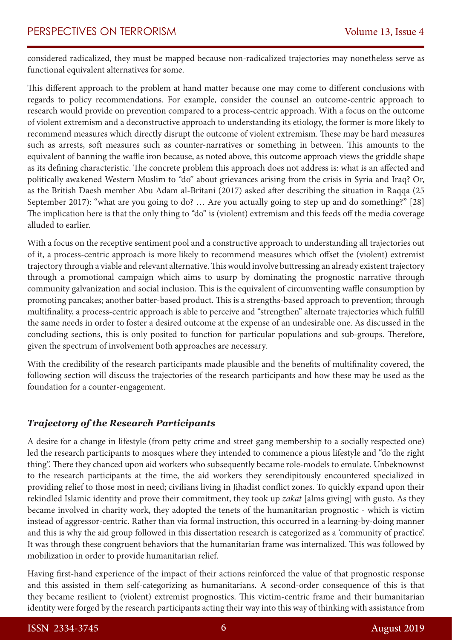considered radicalized, they must be mapped because non-radicalized trajectories may nonetheless serve as functional equivalent alternatives for some.

This different approach to the problem at hand matter because one may come to different conclusions with regards to policy recommendations. For example, consider the counsel an outcome-centric approach to research would provide on prevention compared to a process-centric approach. With a focus on the outcome of violent extremism and a deconstructive approach to understanding its etiology, the former is more likely to recommend measures which directly disrupt the outcome of violent extremism. These may be hard measures such as arrests, soft measures such as counter-narratives or something in between. This amounts to the equivalent of banning the waffle iron because, as noted above, this outcome approach views the griddle shape as its defining characteristic. The concrete problem this approach does not address is: what is an affected and politically awakened Western Muslim to "do" about grievances arising from the crisis in Syria and Iraq? Or, as the British Daesh member Abu Adam al-Britani (2017) asked after describing the situation in Raqqa (25 September 2017): "what are you going to do? … Are you actually going to step up and do something?" [28] The implication here is that the only thing to "do" is (violent) extremism and this feeds off the media coverage alluded to earlier.

With a focus on the receptive sentiment pool and a constructive approach to understanding all trajectories out of it, a process-centric approach is more likely to recommend measures which offset the (violent) extremist trajectory through a viable and relevant alternative. This would involve buttressing an already existent trajectory through a promotional campaign which aims to usurp by dominating the prognostic narrative through community galvanization and social inclusion. This is the equivalent of circumventing waffle consumption by promoting pancakes; another batter-based product. This is a strengths-based approach to prevention; through multifinality, a process-centric approach is able to perceive and "strengthen" alternate trajectories which fulfill the same needs in order to foster a desired outcome at the expense of an undesirable one. As discussed in the concluding sections, this is only posited to function for particular populations and sub-groups. Therefore, given the spectrum of involvement both approaches are necessary.

With the credibility of the research participants made plausible and the benefits of multifinality covered, the following section will discuss the trajectories of the research participants and how these may be used as the foundation for a counter-engagement.

## *Trajectory of the Research Participants*

A desire for a change in lifestyle (from petty crime and street gang membership to a socially respected one) led the research participants to mosques where they intended to commence a pious lifestyle and "do the right thing". There they chanced upon aid workers who subsequently became role-models to emulate. Unbeknownst to the research participants at the time, the aid workers they serendipitously encountered specialized in providing relief to those most in need; civilians living in Jihadist conflict zones. To quickly expand upon their rekindled Islamic identity and prove their commitment, they took up *zakat* [alms giving] with gusto. As they became involved in charity work, they adopted the tenets of the humanitarian prognostic - which is victim instead of aggressor-centric. Rather than via formal instruction, this occurred in a learning-by-doing manner and this is why the aid group followed in this dissertation research is categorized as a 'community of practice'. It was through these congruent behaviors that the humanitarian frame was internalized. This was followed by mobilization in order to provide humanitarian relief.

Having first-hand experience of the impact of their actions reinforced the value of that prognostic response and this assisted in them self-categorizing as humanitarians. A second-order consequence of this is that they became resilient to (violent) extremist prognostics. This victim-centric frame and their humanitarian identity were forged by the research participants acting their way into this way of thinking with assistance from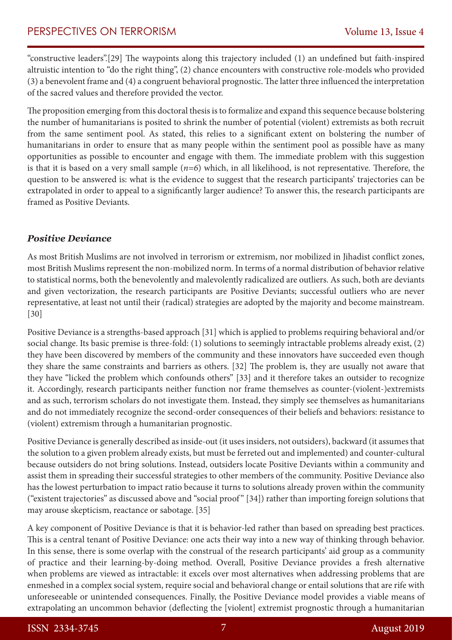"constructive leaders".[29] The waypoints along this trajectory included (1) an undefined but faith-inspired altruistic intention to "do the right thing", (2) chance encounters with constructive role-models who provided (3) a benevolent frame and (4) a congruent behavioral prognostic. The latter three influenced the interpretation of the sacred values and therefore provided the vector.

The proposition emerging from this doctoral thesis is to formalize and expand this sequence because bolstering the number of humanitarians is posited to shrink the number of potential (violent) extremists as both recruit from the same sentiment pool. As stated, this relies to a significant extent on bolstering the number of humanitarians in order to ensure that as many people within the sentiment pool as possible have as many opportunities as possible to encounter and engage with them. The immediate problem with this suggestion is that it is based on a very small sample (*n=6*) which, in all likelihood, is not representative. Therefore, the question to be answered is: what is the evidence to suggest that the research participants' trajectories can be extrapolated in order to appeal to a significantly larger audience? To answer this, the research participants are framed as Positive Deviants.

## *Positive Deviance*

As most British Muslims are not involved in terrorism or extremism, nor mobilized in Jihadist conflict zones, most British Muslims represent the non-mobilized norm. In terms of a normal distribution of behavior relative to statistical norms, both the benevolently and malevolently radicalized are outliers. As such, both are deviants and given vectorization, the research participants are Positive Deviants; successful outliers who are never representative, at least not until their (radical) strategies are adopted by the majority and become mainstream. [30]

Positive Deviance is a strengths-based approach [31] which is applied to problems requiring behavioral and/or social change. Its basic premise is three-fold: (1) solutions to seemingly intractable problems already exist, (2) they have been discovered by members of the community and these innovators have succeeded even though they share the same constraints and barriers as others. [32] The problem is, they are usually not aware that they have "licked the problem which confounds others" [33] and it therefore takes an outsider to recognize it. Accordingly, research participants neither function nor frame themselves as counter-(violent-)extremists and as such, terrorism scholars do not investigate them. Instead, they simply see themselves as humanitarians and do not immediately recognize the second-order consequences of their beliefs and behaviors: resistance to (violent) extremism through a humanitarian prognostic.

Positive Deviance is generally described as inside-out (it uses insiders, not outsiders), backward (it assumes that the solution to a given problem already exists, but must be ferreted out and implemented) and counter-cultural because outsiders do not bring solutions. Instead, outsiders locate Positive Deviants within a community and assist them in spreading their successful strategies to other members of the community. Positive Deviance also has the lowest perturbation to impact ratio because it turns to solutions already proven within the community ("existent trajectories" as discussed above and "social proof" [34]) rather than importing foreign solutions that may arouse skepticism, reactance or sabotage. [35]

A key component of Positive Deviance is that it is behavior-led rather than based on spreading best practices. This is a central tenant of Positive Deviance: one acts their way into a new way of thinking through behavior. In this sense, there is some overlap with the construal of the research participants' aid group as a community of practice and their learning-by-doing method. Overall, Positive Deviance provides a fresh alternative when problems are viewed as intractable: it excels over most alternatives when addressing problems that are enmeshed in a complex social system, require social and behavioral change or entail solutions that are rife with unforeseeable or unintended consequences. Finally, the Positive Deviance model provides a viable means of extrapolating an uncommon behavior (deflecting the [violent] extremist prognostic through a humanitarian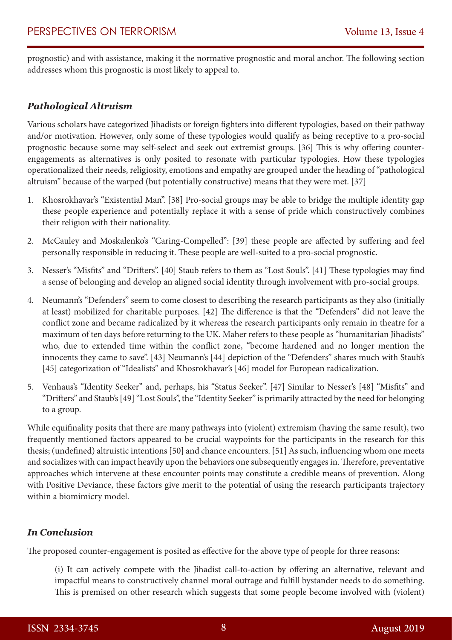prognostic) and with assistance, making it the normative prognostic and moral anchor. The following section addresses whom this prognostic is most likely to appeal to.

## *Pathological Altruism*

Various scholars have categorized Jihadists or foreign fighters into different typologies, based on their pathway and/or motivation. However, only some of these typologies would qualify as being receptive to a pro-social prognostic because some may self-select and seek out extremist groups. [36] This is why offering counterengagements as alternatives is only posited to resonate with particular typologies. How these typologies operationalized their needs, religiosity, emotions and empathy are grouped under the heading of "pathological altruism" because of the warped (but potentially constructive) means that they were met. [37]

- 1. Khosrokhavar's "Existential Man". [38] Pro-social groups may be able to bridge the multiple identity gap these people experience and potentially replace it with a sense of pride which constructively combines their religion with their nationality.
- 2. McCauley and Moskalenko's "Caring-Compelled": [39] these people are affected by suffering and feel personally responsible in reducing it. These people are well-suited to a pro-social prognostic.
- 3. Nesser's "Misfits" and "Drifters". [40] Staub refers to them as "Lost Souls". [41] These typologies may find a sense of belonging and develop an aligned social identity through involvement with pro-social groups.
- 4. Neumann's "Defenders" seem to come closest to describing the research participants as they also (initially at least) mobilized for charitable purposes. [42] The difference is that the "Defenders" did not leave the conflict zone and became radicalized by it whereas the research participants only remain in theatre for a maximum of ten days before returning to the UK. Maher refers to these people as "humanitarian Jihadists" who, due to extended time within the conflict zone, "become hardened and no longer mention the innocents they came to save". [43] Neumann's [44] depiction of the "Defenders" shares much with Staub's [45] categorization of "Idealists" and Khosrokhavar's [46] model for European radicalization.
- 5. Venhaus's "Identity Seeker" and, perhaps, his "Status Seeker". [47] Similar to Nesser's [48] "Misfits" and "Drifters" and Staub's [49] "Lost Souls", the "Identity Seeker" is primarily attracted by the need for belonging to a group.

While equifinality posits that there are many pathways into (violent) extremism (having the same result), two frequently mentioned factors appeared to be crucial waypoints for the participants in the research for this thesis; (undefined) altruistic intentions [50] and chance encounters. [51] As such, influencing whom one meets and socializes with can impact heavily upon the behaviors one subsequently engages in. Therefore, preventative approaches which intervene at these encounter points may constitute a credible means of prevention. Along with Positive Deviance, these factors give merit to the potential of using the research participants trajectory within a biomimicry model.

#### *In Conclusion*

The proposed counter-engagement is posited as effective for the above type of people for three reasons:

(i) It can actively compete with the Jihadist call-to-action by offering an alternative, relevant and impactful means to constructively channel moral outrage and fulfill bystander needs to do something. This is premised on other research which suggests that some people become involved with (violent)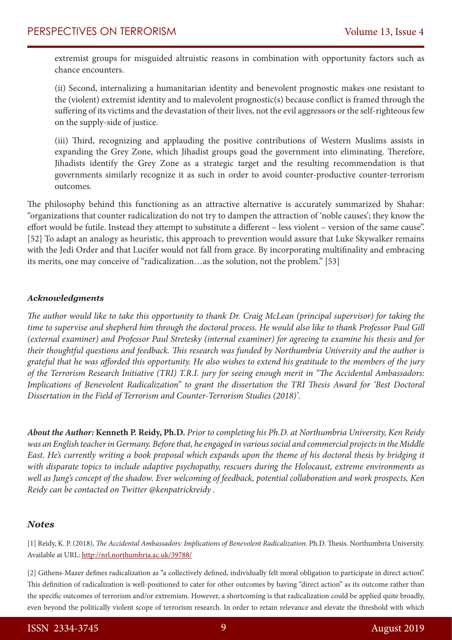extremist groups for misguided altruistic reasons in combination with opportunity factors such as chance encounters.

(ii) Second, internalizing a humanitarian identity and benevolent prognostic makes one resistant to the (violent) extremist identity and to malevolent prognostic(s) because conflict is framed through the suffering of its victims and the devastation of their lives, not the evil aggressors or the self-righteous few on the supply-side of justice.

(iii) Third, recognizing and applauding the positive contributions of Western Muslims assists in expanding the Grey Zone, which Jihadist groups goad the government into eliminating. Therefore, Jihadists identify the Grey Zone as a strategic target and the resulting recommendation is that governments similarly recognize it as such in order to avoid counter-productive counter-terrorism outcomes.

The philosophy behind this functioning as an attractive alternative is accurately summarized by Shahar: "organizations that counter radicalization do not try to dampen the attraction of 'noble causes'; they know the effort would be futile. Instead they attempt to substitute a different – less violent – version of the same cause". [52] To adapt an analogy as heuristic, this approach to prevention would assure that Luke Skywalker remains with the Jedi Order and that Lucifer would not fall from grace. By incorporating multifinality and embracing its merits, one may conceive of "radicalization…as the solution, not the problem." [53]

#### *Acknowledgments*

*The author would like to take this opportunity to thank Dr. Craig McLean (principal supervisor) for taking the time to supervise and shepherd him through the doctoral process. He would also like to thank Professor Paul Gill (external examiner) and Professor Paul Stretesky (internal examiner) for agreeing to examine his thesis and for their thoughtful questions and feedback. This research was funded by Northumbria University and the author is grateful that he was afforded this opportunity. He also wishes to extend his gratitude to the members of the jury of the Terrorism Research Initiative (TRI) T.R.I. jury for seeing enough merit in "The Accidental Ambassadors: Implications of Benevolent Radicalization" to grant the dissertation the TRI Thesis Award for 'Best Doctoral Dissertation in the Field of Terrorism and Counter-Terrorism Studies (2018)'.*

*About the Author:* **Kenneth P. Reidy, Ph.D.** *Prior to completing his Ph.D. at Northumbria University, Ken Reidy was an English teacher in Germany. Before that, he engaged in various social and commercial projects in the Middle East. He's currently writing a book proposal which expands upon the theme of his doctoral thesis by bridging it with disparate topics to include adaptive psychopathy, rescuers during the Holocaust, extreme environments as well as Jung's concept of the shadow. Ever welcoming of feedback, potential collaboration and work prospects, Ken Reidy can be contacted on Twitter @kenpatrickreidy .*

#### *Notes*

[1] Reidy, K. P. (2018), *The Accidental Ambassadors: Implications of Benevolent Radicalization.* Ph.D. Thesis. Northumbria University. Available at URL: http://nrl.northumbria.ac.uk/39788/

[2] Githens-Mazer defines radicalization as "a collectively defined, individually felt moral obligation to participate in direct action". This definition of radicalization is well-positioned to cater for other outcomes by having "direct action" as its outcome rather than the specific outcomes of terrorism and/or extremism. However, a shortcoming is that radicalization could be applied quite broadly, even beyond the politically violent scope of terrorism research. In order to retain relevance and elevate the threshold with which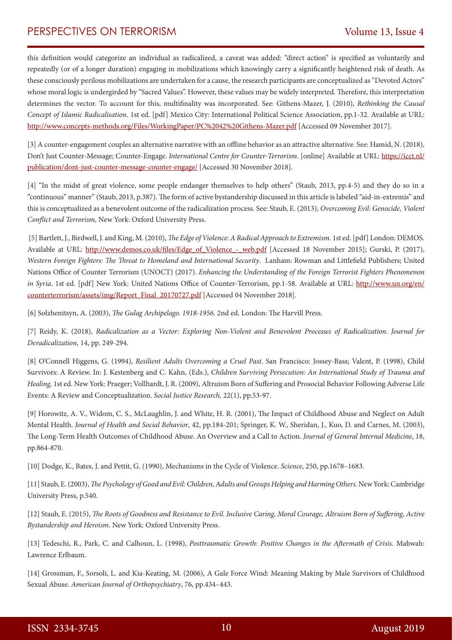this definition would categorize an individual as radicalized, a caveat was added: "direct action" is specified as voluntarily and repeatedly (or of a longer duration) engaging in mobilizations which knowingly carry a significantly heightened risk of death. As these consciously perilous mobilizations are undertaken for a cause, the research participants are conceptualized as "Devoted Actors" whose moral logic is undergirded by "Sacred Values". However, these values may be widely interpreted. Therefore, this interpretation determines the vector. To account for this, multifinality was incorporated. See: Githens-Mazer, J. (2010), *Rethinking the Causal Concept of Islamic Radicalisation*. 1st ed. [pdf] Mexico City: International Political Science Association, pp.1-32. Available at URL: http://www.concepts-methods.org/Files/WorkingPaper/PC%2042%20Githens-Mazer.pdf [Accessed 09 November 2017].

[3] A counter-engagement couples an alternative narrative with an offline behavior as an attractive alternative. See: Hamid, N. (2018), Don't Just Counter-Message; Counter-Engage. *International Centre for Counter-Terrorism*. [online] Available at URL: https://icct.nl/ publication/dont-just-counter-message-counter-engage/ [Accessed 30 November 2018].

[4] "In the midst of great violence, some people endanger themselves to help others" (Staub, 2013, pp.4-5) and they do so in a "continuous" manner" (Staub, 2013, p.387). The form of active bystandership discussed in this article is labeled "aid-in-extremis" and this is conceptualized as a benevolent outcome of the radicalization process. See: Staub, E. (2013), *Overcoming Evil: Genocide, Violent Conflict and Terrorism,* New York: Oxford University Press.

 [5] Bartlett, J., Birdwell, J. and King, M. (2010), *The Edge of Violence: A Radical Approach to Extremism*. 1st ed. [pdf] London: DEMOS. Available at URL: http://www.demos.co.uk/files/Edge\_of\_Violence\_-\_web.pdf [Accessed 18 November 2015]; Gurski, P. (2017), *Western Foreign Fighters: The Threat to Homeland and International Security*. Lanham: Rowman and Littlefield Publishers; United Nations Office of Counter Terrorism (UNOCT) (2017). *Enhancing the Understanding of the Foreign Terrorist Fighters Phenomenon in Syria*. 1st ed. [pdf] New York: United Nations Office of Counter-Terrorism, pp.1-58. Available at URL: http://www.un.org/en/ counterterrorism/assets/img/Report\_Final\_20170727.pdf [Accessed 04 November 2018].

[6] Solzhenitsyn, A. (2003), *The Gulag Archipelago. 1918-1956.* 2nd ed. London: The Harvill Press.

[7] Reidy, K. (2018), *Radicalization as a Vector: Exploring Non-Violent and Benevolent Processes of Radicalization*. *Journal for Deradicalization,* 14, pp. 249-294.

[8] O'Connell Higgens, G. (1994), *Resilient Adults Overcoming a Cruel Past*. San Francisco: Jossey-Bass; Valent, P. (1998), Child Survivors: A Review. In: J. Kestenberg and C. Kahn, (Eds.), *Children Surviving Persecution: An International Study of Trauma and Healing,* 1st ed. New York: Praeger; Vollhardt, J. R. (2009), Altruism Born of Suffering and Prosocial Behavior Following Adverse Life Events: A Review and Conceptualization. *Social Justice Research,* 22(1), pp.53-97.

[9] Horowitz, A. V., Widom, C. S., McLaughlin, J. and White, H. R. (2001), The Impact of Childhood Abuse and Neglect on Adult Mental Health. *Journal of Health and Social Behavior*, 42, pp.184-201; Springer, K. W., Sheridan, J., Kuo, D. and Carnes, M. (2003), The Long-Term Health Outcomes of Childhood Abuse. An Overview and a Call to Action. *Journal of General Internal Medicine*, 18, pp.864-870.

[10] Dodge, K., Bates, J. and Pettit, G. (1990), Mechanisms in the Cycle of Violence. *Science*, 250, pp.1678–1683.

[11] Staub, E. (2003), *The Psychology of Good and Evil: Children, Adults and Groups Helping and Harming Others*. New York: Cambridge University Press, p.540.

[12] Staub, E. (2015), *The Roots of Goodness and Resistance to Evil. Inclusive Caring, Moral Courage, Altruism Born of Suffering, Active Bystandership and Heroism*. New York: Oxford University Press.

[13] Tedeschi, R., Park, C. and Calhoun, L. (1998), *Posttraumatic Growth: Positive Changes in the Aftermath of Crisis*. Mahwah: Lawrence Erlbaum.

[14] Grossman, F., Sorsoli, L. and Kia-Keating, M. (2006), A Gale Force Wind: Meaning Making by Male Survivors of Childhood Sexual Abuse. *American Journal of Orthopsychiatry*, 76, pp.434–443.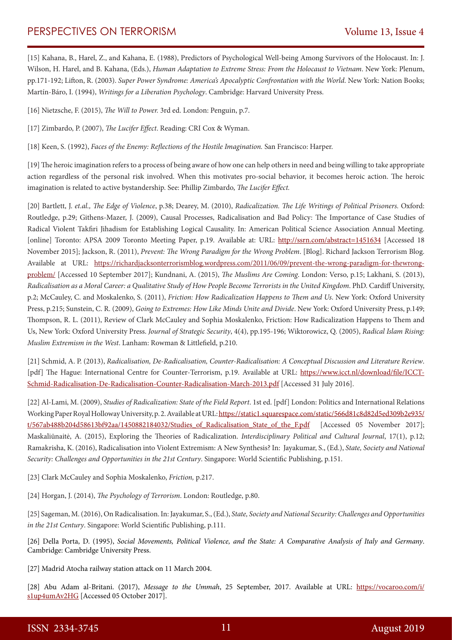# PERSPECTIVES ON TERRORISM Volume 13, Issue 4

[15] Kahana, B., Harel, Z., and Kahana, E. (1988), Predictors of Psychological Well-being Among Survivors of the Holocaust. In: J. Wilson, H. Harel, and B. Kahana, (Eds.), *Human Adaptation to Extreme Stress: From the Holocaust to Vietnam*. New York: Plenum, pp.171-192; Lifton, R. (2003). *Super Power Syndrome: America's Apocalyptic Confrontation with the World*. New York: Nation Books; Martín-Báro, I. (1994), *Writings for a Liberation Psychology*. Cambridge: Harvard University Press.

[16] Nietzsche, F. (2015), *The Will to Power.* 3rd ed. London: Penguin, p.7.

[17] Zimbardo, P. (2007), *The Lucifer Effect*. Reading: CRI Cox & Wyman.

[18] Keen, S. (1992), *Faces of the Enemy: Reflections of the Hostile Imagination.* San Francisco: Harper.

[19] The heroic imagination refers to a process of being aware of how one can help others in need and being willing to take appropriate action regardless of the personal risk involved. When this motivates pro-social behavior, it becomes heroic action. The heroic imagination is related to active bystandership. See: Phillip Zimbardo, *The Lucifer Effect.* 

[20] Bartlett, J. *et.al., The Edge of Violence*, p.38; Dearey, M. (2010), *Radicalization. The Life Writings of Political Prisoners.* Oxford: Routledge, p.29; Githens-Mazer, J. (2009), Causal Processes, Radicalisation and Bad Policy: The Importance of Case Studies of Radical Violent Takfiri Jihadism for Establishing Logical Causality. In: American Political Science Association Annual Meeting. [online] Toronto: APSA 2009 Toronto Meeting Paper, p.19. Available at: URL: http://ssrn.com/abstract=1451634 [Accessed 18 November 2015]; Jackson, R. (2011), *Prevent: The Wrong Paradigm for the Wrong Problem*. [Blog]. Richard Jackson Terrorism Blog. Available at URL: https://richardjacksonterrorismblog.wordpress.com/2011/06/09/prevent-the-wrong-paradigm-for-thewrongproblem/ [Accessed 10 September 2017]; Kundnani, A. (2015), *The Muslims Are Coming*. London: Verso, p.15; Lakhani, S. (2013), *Radicalisation as a Moral Career: a Qualitative Study of How People Become Terrorists in the United Kingdom*. PhD. Cardiff University, p.2; McCauley, C. and Moskalenko, S. (2011), *Friction: How Radicalization Happens to Them and Us*. New York: Oxford University Press, p.215; Sunstein, C. R. (2009), *Going to Extremes: How Like Minds Unite and Divide*. New York: Oxford University Press, p.149; Thompson, R. L. (2011), Review of Clark McCauley and Sophia Moskalenko, Friction: How Radicalization Happens to Them and Us, New York: Oxford University Press. *Journal of Strategic Security*, 4(4), pp.195-196; Wiktorowicz, Q. (2005), *Radical Islam Rising: Muslim Extremism in the West*. Lanham: Rowman & Littlefield, p.210.

[21] Schmid, A. P. (2013), *Radicalisation, De-Radicalisation, Counter-Radicalisation: A Conceptual Discussion and Literature Review*. [pdf] The Hague: International Centre for Counter-Terrorism, p.19. Available at URL: https://www.icct.nl/download/file/ICCT-Schmid-Radicalisation-De-Radicalisation-Counter-Radicalisation-March-2013.pdf [Accessed 31 July 2016].

[22] Al-Lami, M. (2009), *Studies of Radicalization: State of the Field Report*. 1st ed. [pdf] London: Politics and International Relations Working Paper Royal Holloway University, p. 2. Available at URL: https://static1.squarespace.com/static/566d81c8d82d5ed309b2e935/ t/567ab488b204d58613bf92aa/1450882184032/Studies of Radicalisation State of the F.pdf [Accessed 05 November 2017]; Maskaliūnaitė, A. (2015), Exploring the Theories of Radicalization. *Interdisciplinary Political and Cultural Journal*, 17(1), p.12; Ramakrisha, K. (2016), Radicalisation into Violent Extremism: A New Synthesis? In: Jayakumar, S., (Ed.), *State, Society and National Security: Challenges and Opportunities in the 21st Century*. Singapore: World Scientific Publishing, p.151.

[23] Clark McCauley and Sophia Moskalenko, *Friction,* p.217.

[24] Horgan, J. (2014), *The Psychology of Terrorism*. London: Routledge, p.80.

[25] Sageman, M. (2016), On Radicalisation. In: Jayakumar, S., (Ed.), *State, Society and National Security: Challenges and Opportunities in the 21st Century*. Singapore: World Scientific Publishing, p.111.

[26] Della Porta, D. (1995), *Social Movements, Political Violence, and the State: A Comparative Analysis of Italy and Germany*. Cambridge: Cambridge University Press.

[27] Madrid Atocha railway station attack on 11 March 2004.

[28] Abu Adam al-Britani. (2017), *Message to the Ummah*, 25 September, 2017. Available at URL: https://vocaroo.com/i/ s1up4umAv2HG [Accessed 05 October 2017].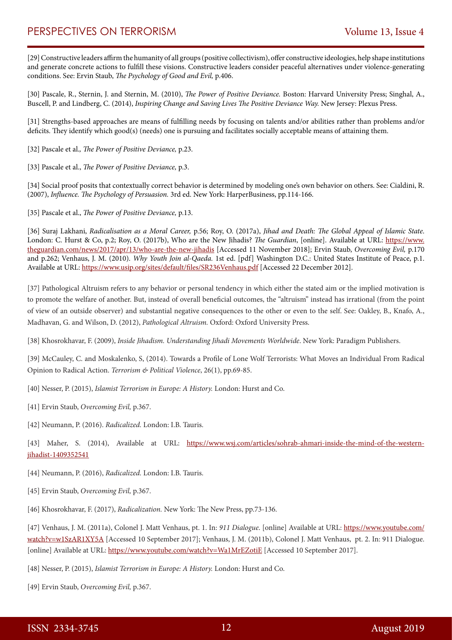[29] Constructive leaders affirm the humanity of all groups (positive collectivism), offer constructive ideologies, help shape institutions and generate concrete actions to fulfill these visions. Constructive leaders consider peaceful alternatives under violence-generating conditions. See: Ervin Staub, *The Psychology of Good and Evil,* p.406.

[30] Pascale, R., Sternin, J. and Sternin, M. (2010), *The Power of Positive Deviance.* Boston: Harvard University Press; Singhal, A., Buscell, P. and Lindberg, C. (2014), *Inspiring Change and Saving Lives The Positive Deviance Way.* New Jersey: Plexus Press.

[31] Strengths-based approaches are means of fulfilling needs by focusing on talents and/or abilities rather than problems and/or deficits. They identify which good(s) (needs) one is pursuing and facilitates socially acceptable means of attaining them.

[32] Pascale et al.*, The Power of Positive Deviance,* p.23.

[33] Pascale et al., *The Power of Positive Deviance,* p.3.

[34] Social proof posits that contextually correct behavior is determined by modeling one's own behavior on others. See: Cialdini, R. (2007), *Influence. The Psychology of Persuasion.* 3rd ed. New York: HarperBusiness, pp.114-166.

[35] Pascale et al., *The Power of Positive Deviance,* p.13.

[36] Suraj Lakhani, *Radicalisation as a Moral Career,* p.56; Roy, O. (2017a), *Jihad and Death: The Global Appeal of Islamic State*. London: C. Hurst & Co, p.2; Roy, O. (2017b), Who are the New Jihadis? *The Guardian*, [online]. Available at URL: https://www. theguardian.com/news/2017/apr/13/who-are-the-new-jihadis [Accessed 11 November 2018]; Ervin Staub, *Overcoming Evil,* p.170 and p.262; Venhaus, J. M. (2010). *Why Youth Join al-Qaeda.* 1st ed. [pdf] Washington D.C.: United States Institute of Peace, p.1. Available at URL: https://www.usip.org/sites/default/files/SR236Venhaus.pdf [Accessed 22 December 2012].

[37] Pathological Altruism refers to any behavior or personal tendency in which either the stated aim or the implied motivation is to promote the welfare of another. But, instead of overall beneficial outcomes, the "altruism" instead has irrational (from the point of view of an outside observer) and substantial negative consequences to the other or even to the self. See: Oakley, B., Knafo, A., Madhavan, G. and Wilson, D. (2012), *Pathological Altruism.* Oxford: Oxford University Press.

[38] Khosrokhavar, F. (2009), *Inside Jihadism. Understanding Jihadi Movements Worldwide*. New York: Paradigm Publishers.

[39] McCauley, C. and Moskalenko, S, (2014). Towards a Profile of Lone Wolf Terrorists: What Moves an Individual From Radical Opinion to Radical Action. *Terrorism & Political Violence*, 26(1), pp.69-85.

[40] Nesser, P. (2015), *Islamist Terrorism in Europe: A History.* London: Hurst and Co.

[41] Ervin Staub, *Overcoming Evil,* p.367.

[42] Neumann, P. (2016). *Radicalized.* London: I.B. Tauris.

[43] Maher, S. (2014), Available at URL: https://www.wsj.com/articles/sohrab-ahmari-inside-the-mind-of-the-westernjihadist-1409352541

- [44] Neumann, P. (2016), *Radicalized.* London: I.B. Tauris.
- [45] Ervin Staub, *Overcoming Evil,* p.367.

[46] Khosrokhavar, F. (2017), *Radicalization.* New York: The New Press, pp.73-136.

[47] Venhaus, J. M. (2011a), Colonel J. Matt Venhaus, pt. 1. In: *911 Dialogue*. [online] Available at URL: https://www.youtube.com/ watch?v=w1SzAR1XY5A [Accessed 10 September 2017]; Venhaus, J. M. (2011b), Colonel J. Matt Venhaus, pt. 2. In: 911 Dialogue. [online] Available at URL: https://www.youtube.com/watch?v=Wa1MrEZotiE [Accessed 10 September 2017].

[48] Nesser, P. (2015), *Islamist Terrorism in Europe: A History.* London: Hurst and Co.

[49] Ervin Staub, *Overcoming Evil,* p.367.